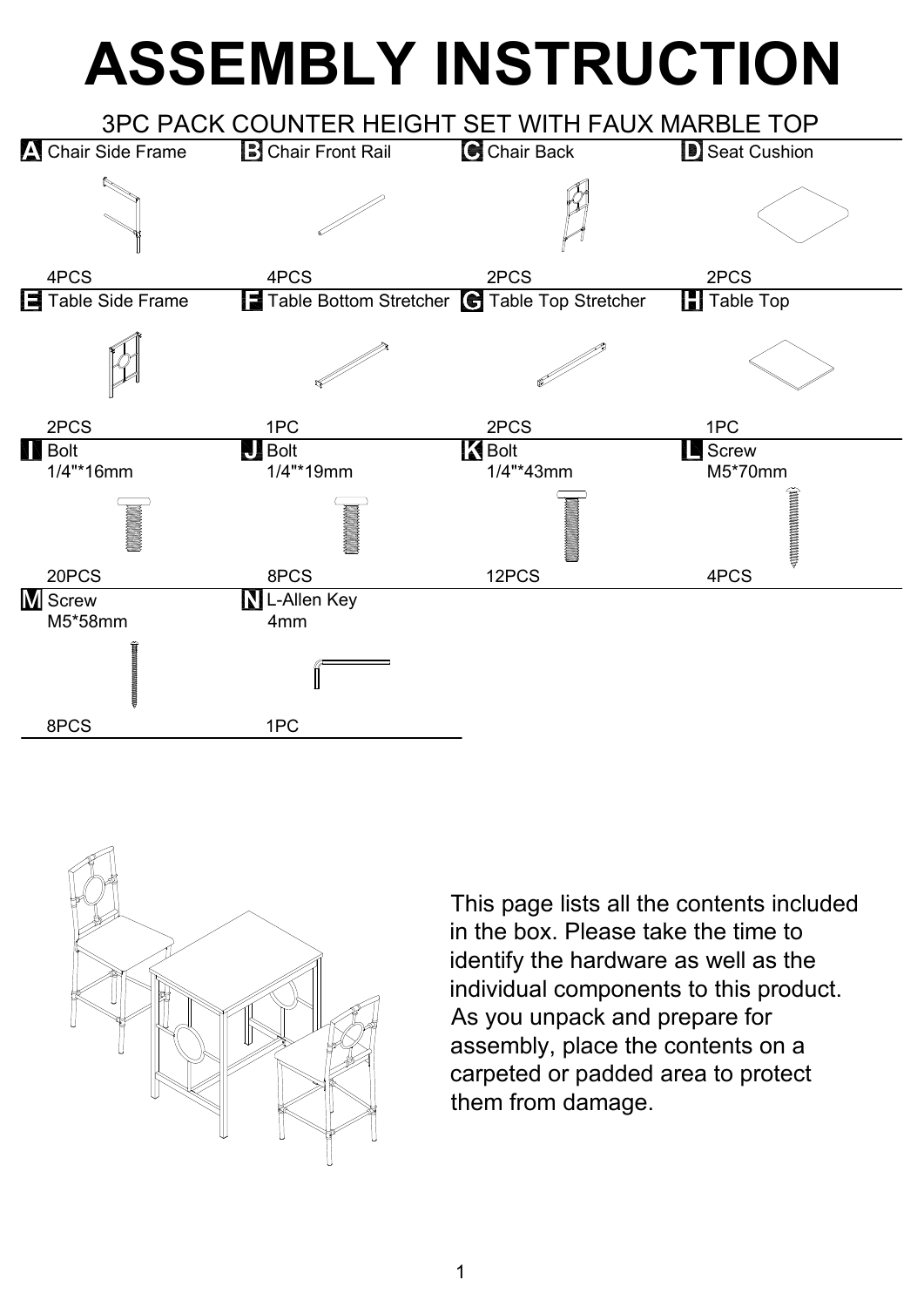## **ASSEMBLY INSTRUCTION**





This page lists all the contents included in the box. Please take the time to identify the hardware as well as the individual components to this product. As you unpack and prepare for assembly, place the contents on a carpeted or padded area to protect them from damage.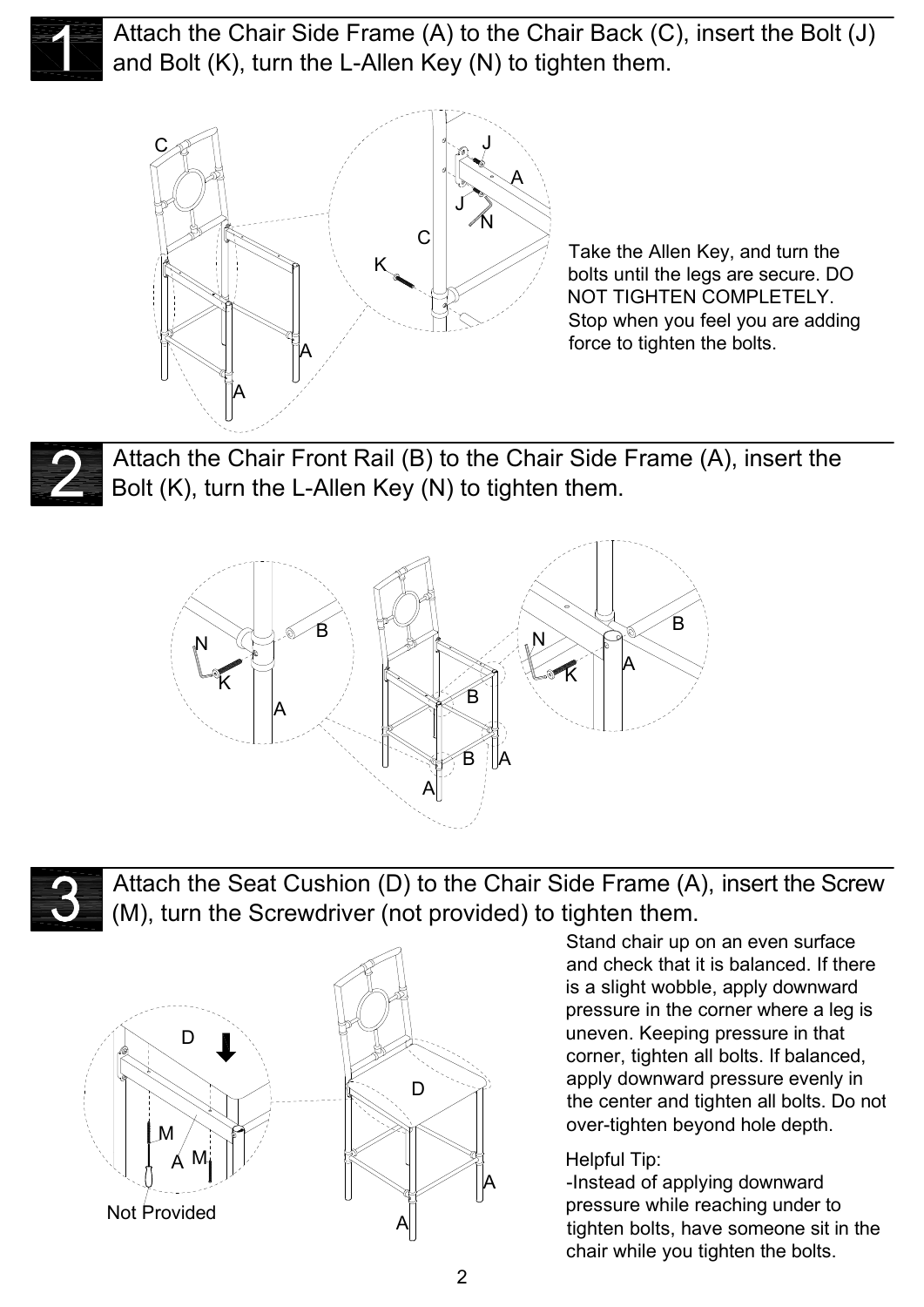

Attach the Chair Side Frame (A) to the Chair Back (C), insert the Bolt (J) and Bolt (K), turn the L-Allen Key (N) to tighten them.



Take the Allen Key, and turn the bolts until the legs are secure. DO NOT TIGHTEN COMPLETELY. Stop when you feel you are adding force to tighten the bolts.

Attach the Chair Front Rail (B) to the Chair Side Frame (A), insert the Bolt (K), turn the L-Allen Key (N) to tighten them.





Attach the Seat Cushion (D) to the Chair Side Frame (A), insert the Screw (M), turn the Screwdriver (not provided) to tighten them.



Stand chair up on an even surface and check that it is balanced. If there is a slight wobble, apply downward pressure in the corner where a leg is uneven. Keeping pressure in that corner, tighten all bolts. If balanced, apply downward pressure evenly in the center and tighten all bolts. Do not over-tighten beyond hole depth.

## Helpful Tip:

-Instead of applying downward pressure while reaching under to tighten bolts, have someone sit in the chair while you tighten the bolts.